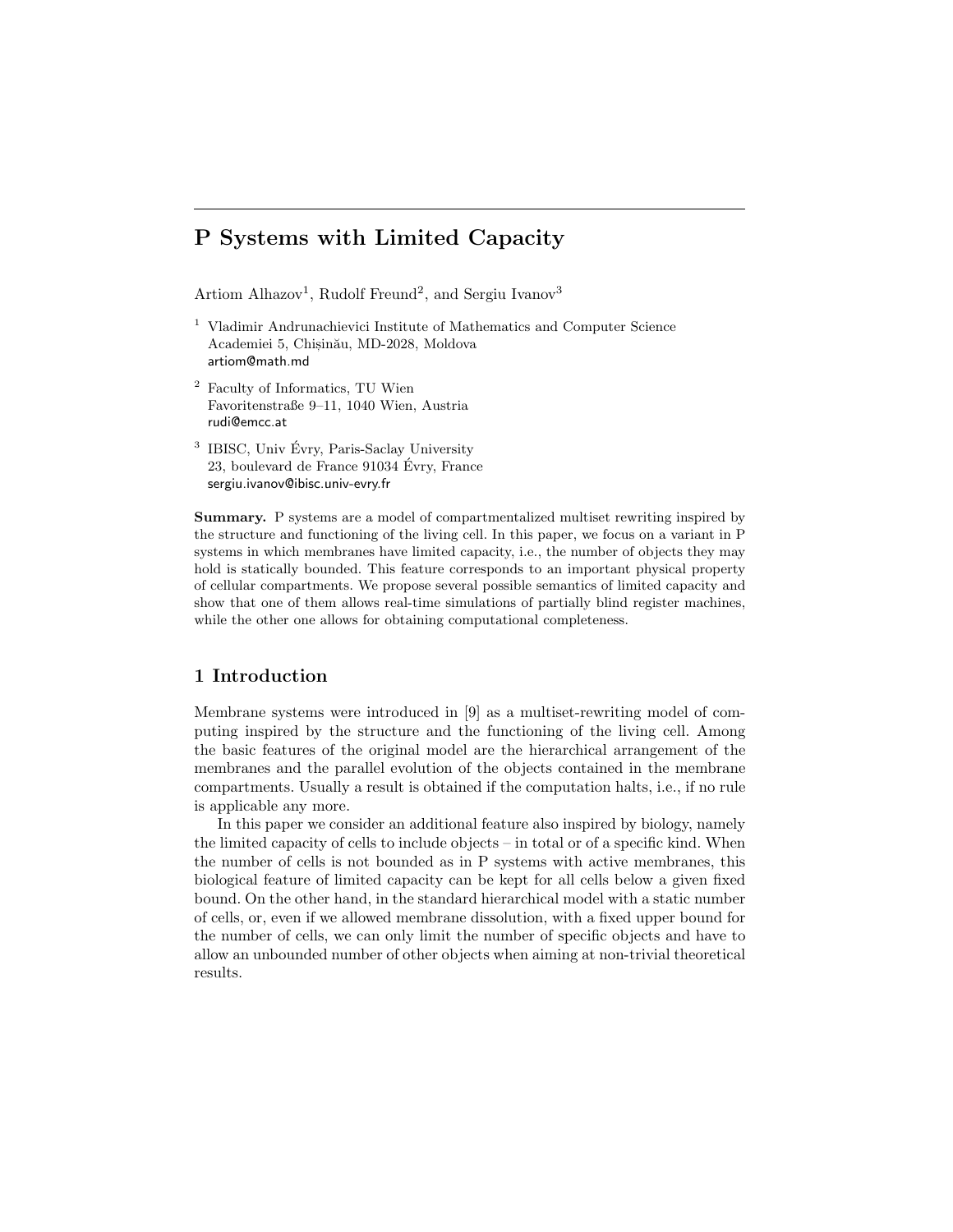# P Systems with Limited Capacity

Artiom Alhazov<sup>1</sup>, Rudolf Freund<sup>2</sup>, and Sergiu Ivanov<sup>3</sup>

- <sup>1</sup> Vladimir Andrunachievici Institute of Mathematics and Computer Science Academiei 5, Chisinău, MD-2028, Moldova artiom@math.md
- <sup>2</sup> Faculty of Informatics, TU Wien Favoritenstraße 9–11, 1040 Wien, Austria rudi@emcc.at
- <sup>3</sup> IBISC, Univ Évry, Paris-Saclay University 23, boulevard de France  $91034$  Évry, France sergiu.ivanov@ibisc.univ-evry.fr

Summary. P systems are a model of compartmentalized multiset rewriting inspired by the structure and functioning of the living cell. In this paper, we focus on a variant in P systems in which membranes have limited capacity, i.e., the number of objects they may hold is statically bounded. This feature corresponds to an important physical property of cellular compartments. We propose several possible semantics of limited capacity and show that one of them allows real-time simulations of partially blind register machines, while the other one allows for obtaining computational completeness.

# 1 Introduction

Membrane systems were introduced in [9] as a multiset-rewriting model of computing inspired by the structure and the functioning of the living cell. Among the basic features of the original model are the hierarchical arrangement of the membranes and the parallel evolution of the objects contained in the membrane compartments. Usually a result is obtained if the computation halts, i.e., if no rule is applicable any more.

In this paper we consider an additional feature also inspired by biology, namely the limited capacity of cells to include objects – in total or of a specific kind. When the number of cells is not bounded as in P systems with active membranes, this biological feature of limited capacity can be kept for all cells below a given fixed bound. On the other hand, in the standard hierarchical model with a static number of cells, or, even if we allowed membrane dissolution, with a fixed upper bound for the number of cells, we can only limit the number of specific objects and have to allow an unbounded number of other objects when aiming at non-trivial theoretical results.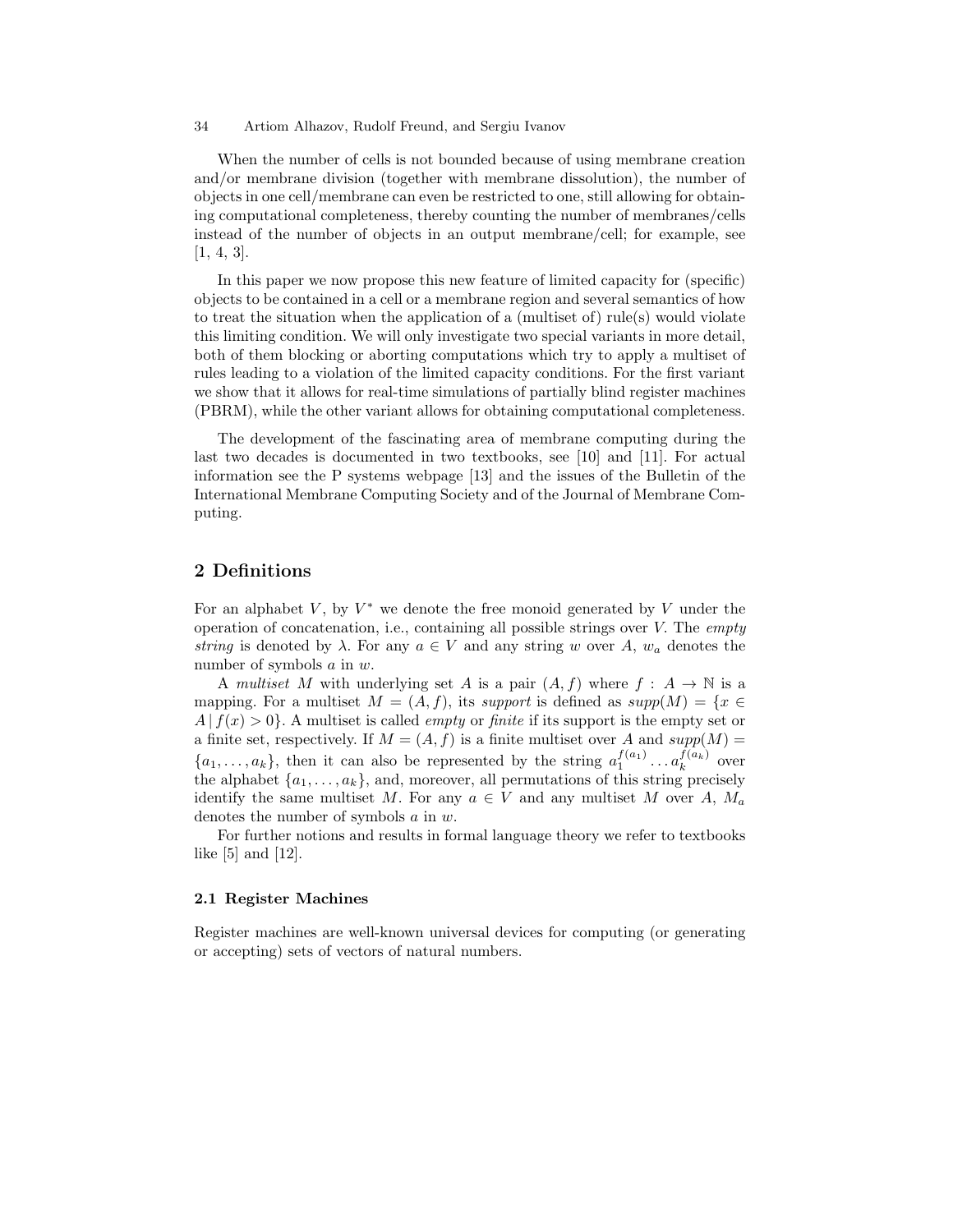When the number of cells is not bounded because of using membrane creation and/or membrane division (together with membrane dissolution), the number of objects in one cell/membrane can even be restricted to one, still allowing for obtaining computational completeness, thereby counting the number of membranes/cells instead of the number of objects in an output membrane/cell; for example, see [1, 4, 3].

In this paper we now propose this new feature of limited capacity for (specific) objects to be contained in a cell or a membrane region and several semantics of how to treat the situation when the application of a (multiset of) rule(s) would violate this limiting condition. We will only investigate two special variants in more detail, both of them blocking or aborting computations which try to apply a multiset of rules leading to a violation of the limited capacity conditions. For the first variant we show that it allows for real-time simulations of partially blind register machines (PBRM), while the other variant allows for obtaining computational completeness.

The development of the fascinating area of membrane computing during the last two decades is documented in two textbooks, see [10] and [11]. For actual information see the P systems webpage [13] and the issues of the Bulletin of the International Membrane Computing Society and of the Journal of Membrane Computing.

### 2 Definitions

For an alphabet  $V$ , by  $V^*$  we denote the free monoid generated by  $V$  under the operation of concatenation, i.e., containing all possible strings over V. The *empty* string is denoted by  $\lambda$ . For any  $a \in V$  and any string w over A,  $w_a$  denotes the number of symbols a in w.

A multiset M with underlying set A is a pair  $(A, f)$  where  $f : A \to \mathbb{N}$  is a mapping. For a multiset  $M = (A, f)$ , its support is defined as supp $(M) = \{x \in$  $A | f(x) > 0$ . A multiset is called *empty* or *finite* if its support is the empty set or a finite set, respectively. If  $M = (A, f)$  is a finite multiset over A and  $supp(M) =$  $\{a_1, \ldots, a_k\}$ , then it can also be represented by the string  $a_1^{f(a_1)} \ldots a_k^{f(a_k)}$  over the alphabet  $\{a_1, \ldots, a_k\}$ , and, moreover, all permutations of this string precisely identify the same multiset M. For any  $a \in V$  and any multiset M over A,  $M_a$ denotes the number of symbols a in w.

For further notions and results in formal language theory we refer to textbooks like [5] and [12].

#### 2.1 Register Machines

Register machines are well-known universal devices for computing (or generating or accepting) sets of vectors of natural numbers.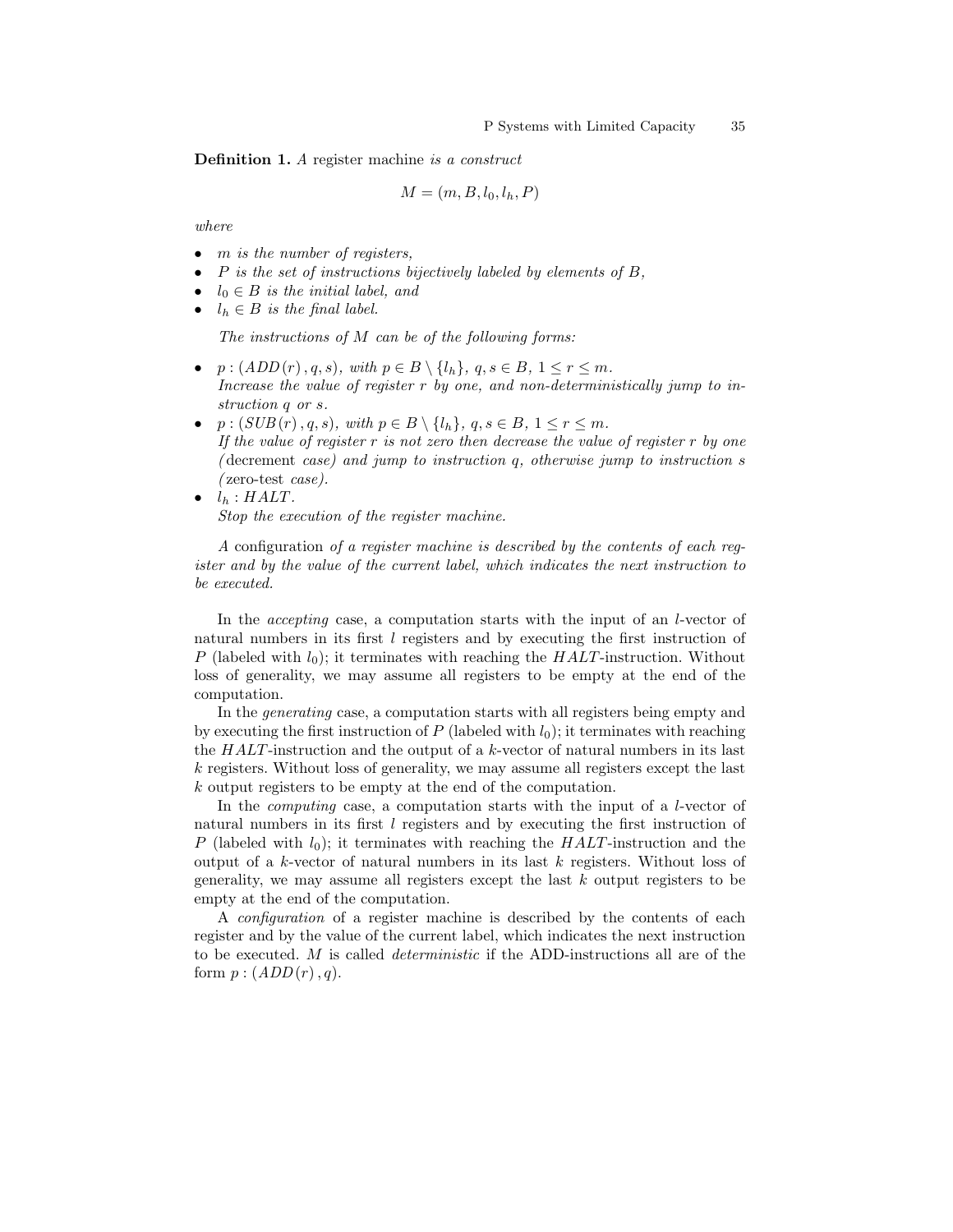Definition 1. A register machine is a construct

$$
M = (m, B, l_0, l_h, P)
$$

where

- m is the number of registers,
- $P$  is the set of instructions bijectively labeled by elements of  $B$ ,
- $l_0 \in B$  is the initial label, and
- $l_h \in B$  is the final label.

The instructions of M can be of the following forms:

- $p : (ADD(r), q, s), with p \in B \setminus \{l_h\}, q, s \in B, 1 \leq r \leq m.$ Increase the value of register r by one, and non-deterministically jump to instruction q or s.
- $p : (SUB(r), q, s), with p \in B \setminus \{l_h\}, q, s \in B, 1 \leq r \leq m.$ If the value of register  $r$  is not zero then decrease the value of register  $r$  by one (decrement case) and jump to instruction  $q$ , otherwise jump to instruction  $s$ ( zero-test case).
- $\bullet$   $l_h$  : HALT. Stop the execution of the register machine.

A configuration of a register machine is described by the contents of each register and by the value of the current label, which indicates the next instruction to be executed.

In the *accepting* case, a computation starts with the input of an *l*-vector of natural numbers in its first  $l$  registers and by executing the first instruction of P (labeled with  $l_0$ ); it terminates with reaching the  $HALT$ -instruction. Without loss of generality, we may assume all registers to be empty at the end of the computation.

In the generating case, a computation starts with all registers being empty and by executing the first instruction of  $P$  (labeled with  $l_0$ ); it terminates with reaching the  $HALT$ -instruction and the output of a k-vector of natural numbers in its last k registers. Without loss of generality, we may assume all registers except the last k output registers to be empty at the end of the computation.

In the *computing* case, a computation starts with the input of a *l*-vector of natural numbers in its first l registers and by executing the first instruction of P (labeled with  $l_0$ ); it terminates with reaching the  $HALT$ -instruction and the output of a k-vector of natural numbers in its last k registers. Without loss of generality, we may assume all registers except the last k output registers to be empty at the end of the computation.

A configuration of a register machine is described by the contents of each register and by the value of the current label, which indicates the next instruction to be executed.  $M$  is called *deterministic* if the ADD-instructions all are of the form  $p:(ADD(r), q)$ .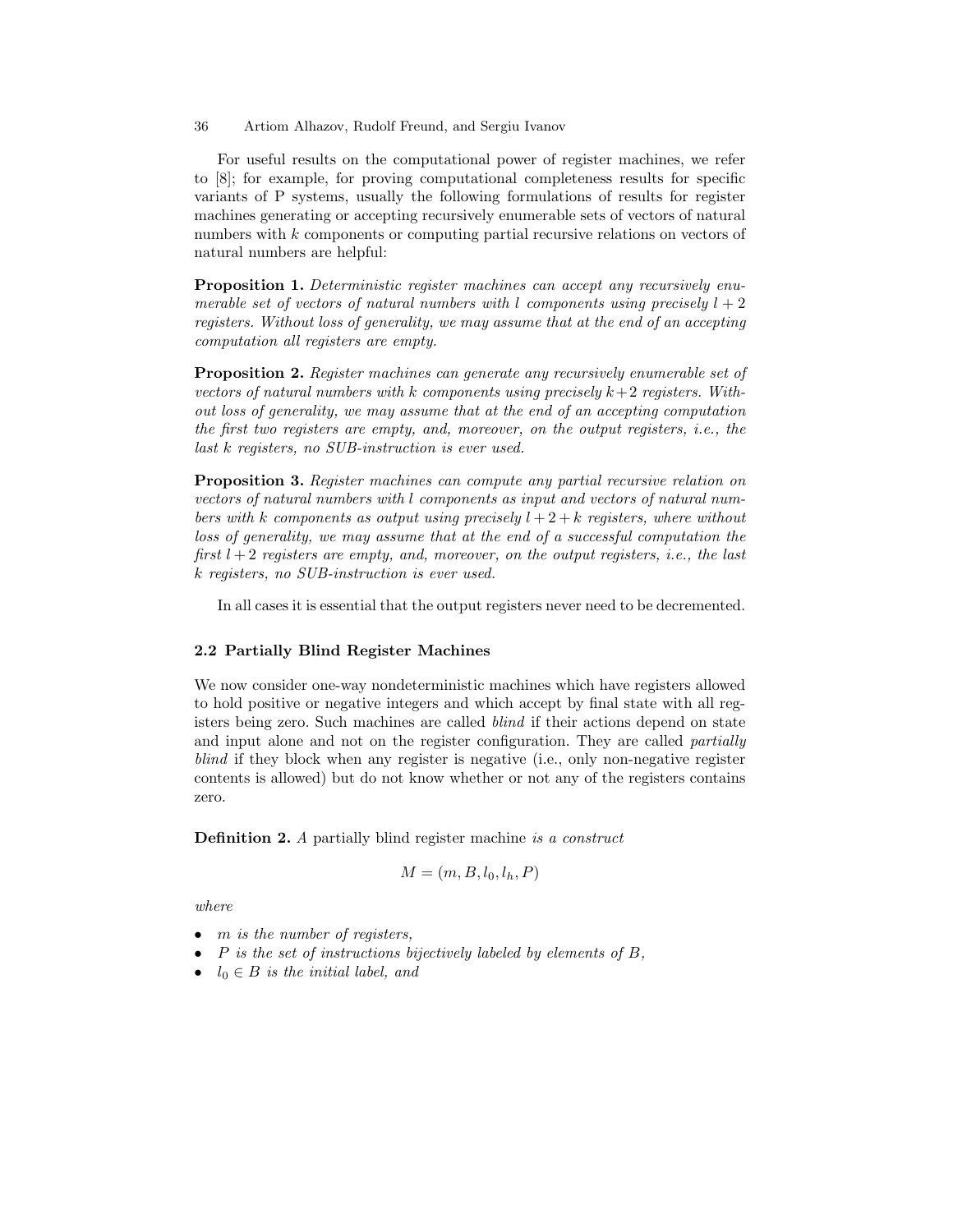For useful results on the computational power of register machines, we refer to [8]; for example, for proving computational completeness results for specific variants of P systems, usually the following formulations of results for register machines generating or accepting recursively enumerable sets of vectors of natural numbers with k components or computing partial recursive relations on vectors of natural numbers are helpful:

Proposition 1. Deterministic register machines can accept any recursively enumerable set of vectors of natural numbers with l components using precisely  $l + 2$ registers. Without loss of generality, we may assume that at the end of an accepting computation all registers are empty.

**Proposition 2.** Register machines can generate any recursively enumerable set of vectors of natural numbers with k components using precisely  $k+2$  registers. Without loss of generality, we may assume that at the end of an accepting computation the first two registers are empty, and, moreover, on the output registers, i.e., the last k registers, no SUB-instruction is ever used.

Proposition 3. Register machines can compute any partial recursive relation on vectors of natural numbers with l components as input and vectors of natural numbers with k components as output using precisely  $l + 2 + k$  registers, where without loss of generality, we may assume that at the end of a successful computation the first  $l + 2$  registers are empty, and, moreover, on the output registers, i.e., the last k registers, no SUB-instruction is ever used.

In all cases it is essential that the output registers never need to be decremented.

### 2.2 Partially Blind Register Machines

We now consider one-way nondeterministic machines which have registers allowed to hold positive or negative integers and which accept by final state with all registers being zero. Such machines are called blind if their actions depend on state and input alone and not on the register configuration. They are called *partially* blind if they block when any register is negative (i.e., only non-negative register contents is allowed) but do not know whether or not any of the registers contains zero.

Definition 2. A partially blind register machine is a construct

$$
M = (m, B, l_0, l_h, P)
$$

where

- $\bullet$  m is the number of reqisters,
- $P$  is the set of instructions bijectively labeled by elements of  $B$ ,
- $l_0 \in B$  is the initial label, and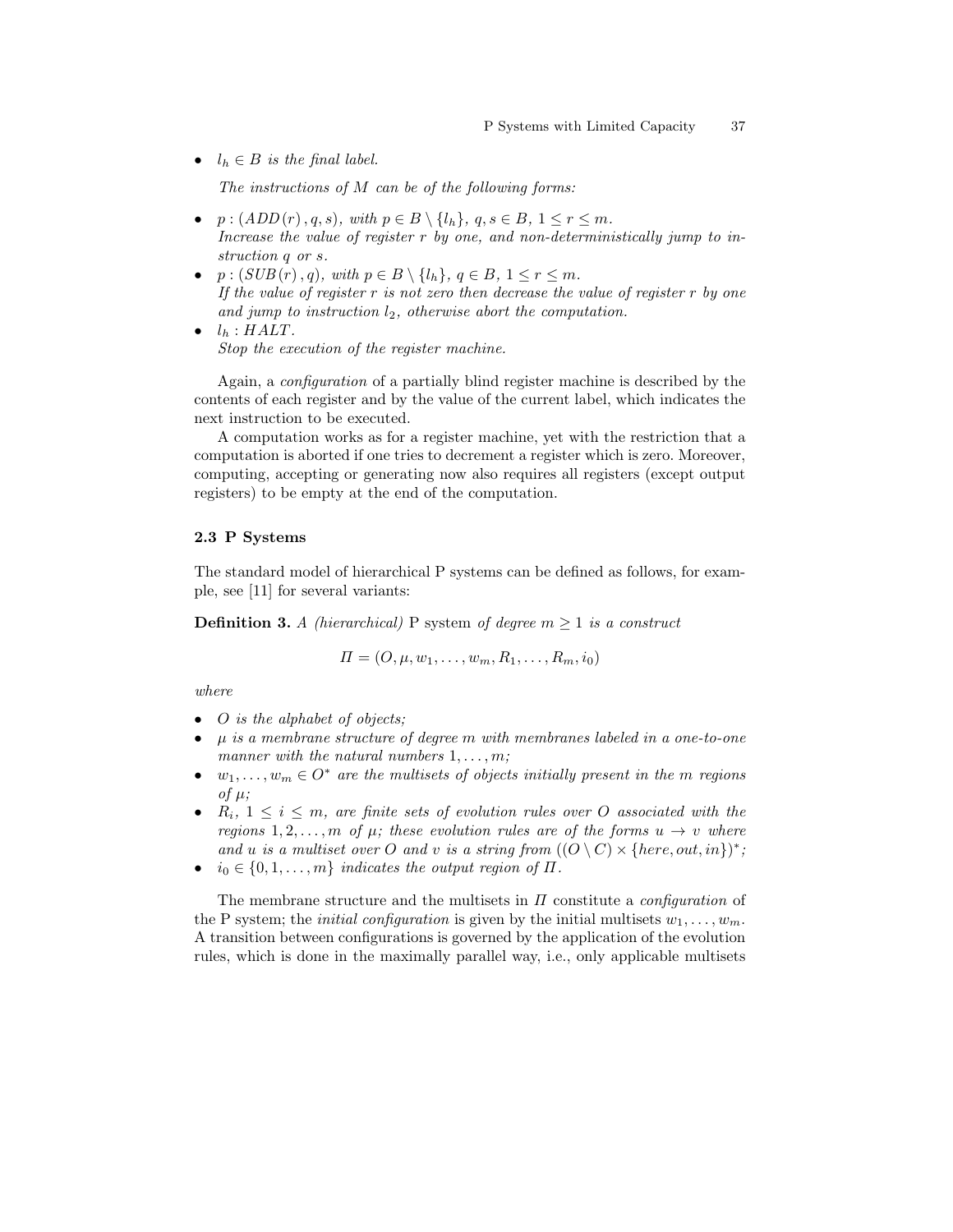•  $l_h \in B$  is the final label.

The instructions of  $M$  can be of the following forms:

- $p : (ADD(r), q, s), with p \in B \setminus \{l_h\}, q, s \in B, 1 \leq r \leq m.$ Increase the value of register r by one, and non-deterministically jump to instruction q or s.
- $p:(SUB(r), q), with p \in B \setminus \{l_h\}, q \in B, 1 \leq r \leq m.$ If the value of register  $r$  is not zero then decrease the value of register  $r$  by one and jump to instruction  $l_2$ , otherwise abort the computation.
- $\bullet$   $l_h$  : HALT. Stop the execution of the register machine.

Again, a configuration of a partially blind register machine is described by the contents of each register and by the value of the current label, which indicates the next instruction to be executed.

A computation works as for a register machine, yet with the restriction that a computation is aborted if one tries to decrement a register which is zero. Moreover, computing, accepting or generating now also requires all registers (except output registers) to be empty at the end of the computation.

#### 2.3 P Systems

The standard model of hierarchical P systems can be defined as follows, for example, see [11] for several variants:

**Definition 3.** A (hierarchical) P system of degree  $m \geq 1$  is a construct

$$
\Pi=(O,\mu,w_1,\ldots,w_m,R_1,\ldots,R_m,i_0)
$$

where

- O is the alphabet of objects;
- $\mu$  is a membrane structure of degree m with membranes labeled in a one-to-one manner with the natural numbers  $1, \ldots, m$ ;
- $w_1, \ldots, w_m \in O^*$  are the multisets of objects initially present in the m regions of  $\mu$ ;
- $R_i, 1 \leq i \leq m$ , are finite sets of evolution rules over O associated with the regions 1, 2, ..., m of  $\mu$ ; these evolution rules are of the forms  $u \to v$  where and u is a multiset over O and v is a string from  $((O \setminus C) \times \{here, out, in\})^*$ ;
- $i_0 \in \{0, 1, \ldots, m\}$  indicates the output region of  $\Pi$ .

The membrane structure and the multisets in  $\Pi$  constitute a *configuration* of the P system; the *initial configuration* is given by the initial multisets  $w_1, \ldots, w_m$ . A transition between configurations is governed by the application of the evolution rules, which is done in the maximally parallel way, i.e., only applicable multisets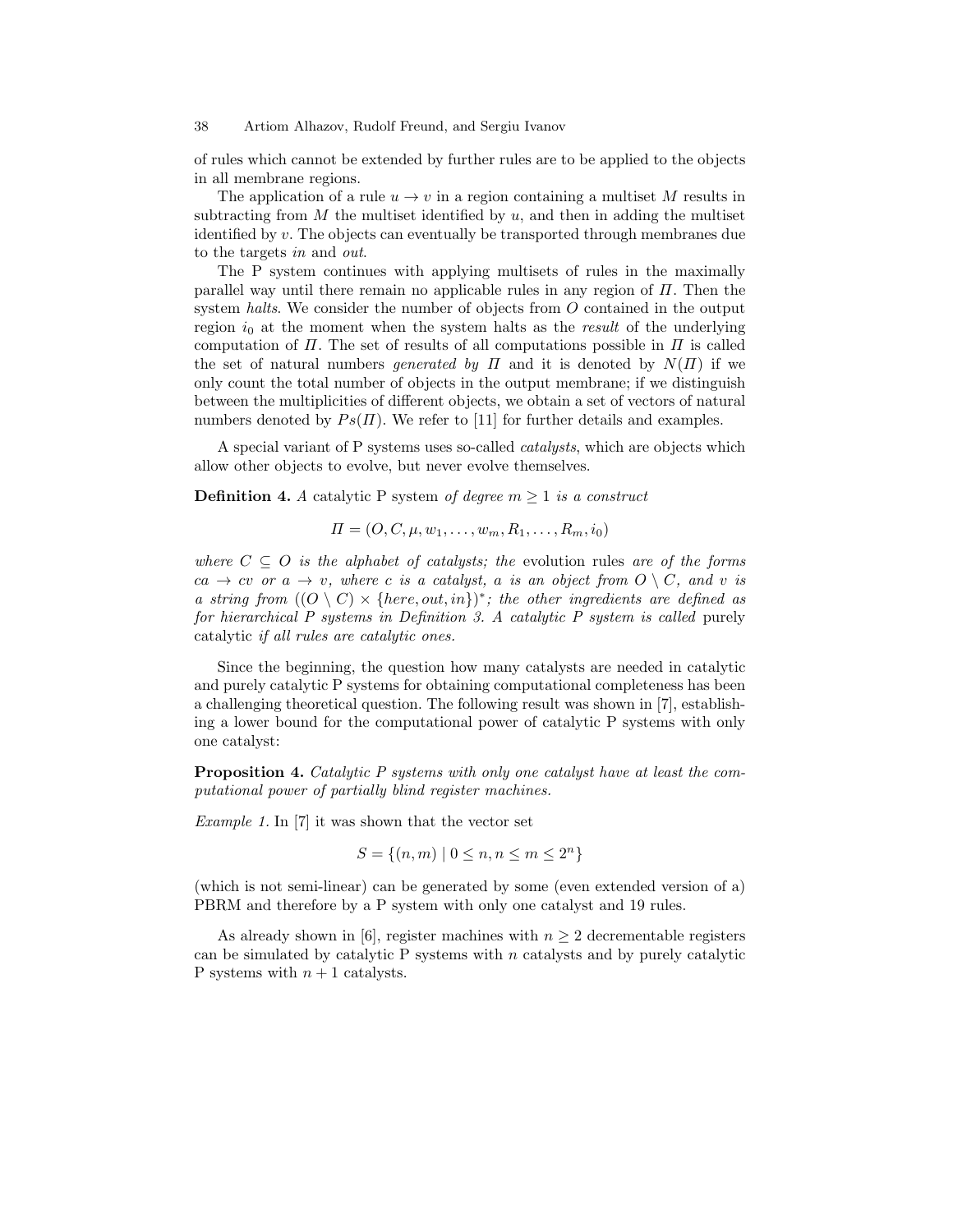of rules which cannot be extended by further rules are to be applied to the objects in all membrane regions.

The application of a rule  $u \to v$  in a region containing a multiset M results in subtracting from  $M$  the multiset identified by  $u$ , and then in adding the multiset identified by v. The objects can eventually be transported through membranes due to the targets in and out.

The P system continues with applying multisets of rules in the maximally parallel way until there remain no applicable rules in any region of  $\Pi$ . Then the system halts. We consider the number of objects from O contained in the output region  $i_0$  at the moment when the system halts as the *result* of the underlying computation of  $\Pi$ . The set of results of all computations possible in  $\Pi$  is called the set of natural numbers *generated by*  $\Pi$  and it is denoted by  $N(\Pi)$  if we only count the total number of objects in the output membrane; if we distinguish between the multiplicities of different objects, we obtain a set of vectors of natural numbers denoted by  $Ps(\Pi)$ . We refer to [11] for further details and examples.

A special variant of P systems uses so-called catalysts, which are objects which allow other objects to evolve, but never evolve themselves.

**Definition 4.** A catalytic P system of degree  $m \geq 1$  is a construct

$$
\Pi = (O, C, \mu, w_1, \dots, w_m, R_1, \dots, R_m, i_0)
$$

where  $C \subseteq O$  is the alphabet of catalysts; the evolution rules are of the forms  $ca \rightarrow cv$  or  $a \rightarrow v$ , where c is a catalyst, a is an object from  $O \setminus C$ , and v is a string from  $((O \setminus C) \times \{here, out, in\})^*$ ; the other ingredients are defined as for hierarchical P systems in Definition 3. A catalytic P system is called purely catalytic if all rules are catalytic ones.

Since the beginning, the question how many catalysts are needed in catalytic and purely catalytic P systems for obtaining computational completeness has been a challenging theoretical question. The following result was shown in [7], establishing a lower bound for the computational power of catalytic P systems with only one catalyst:

**Proposition 4.** Catalytic P systems with only one catalyst have at least the computational power of partially blind register machines.

*Example 1.* In [7] it was shown that the vector set

$$
S = \{(n, m) \mid 0 \le n, n \le m \le 2^n\}
$$

(which is not semi-linear) can be generated by some (even extended version of a) PBRM and therefore by a P system with only one catalyst and 19 rules.

As already shown in [6], register machines with  $n \geq 2$  decrementable registers can be simulated by catalytic P systems with  $n$  catalysts and by purely catalytic P systems with  $n + 1$  catalysts.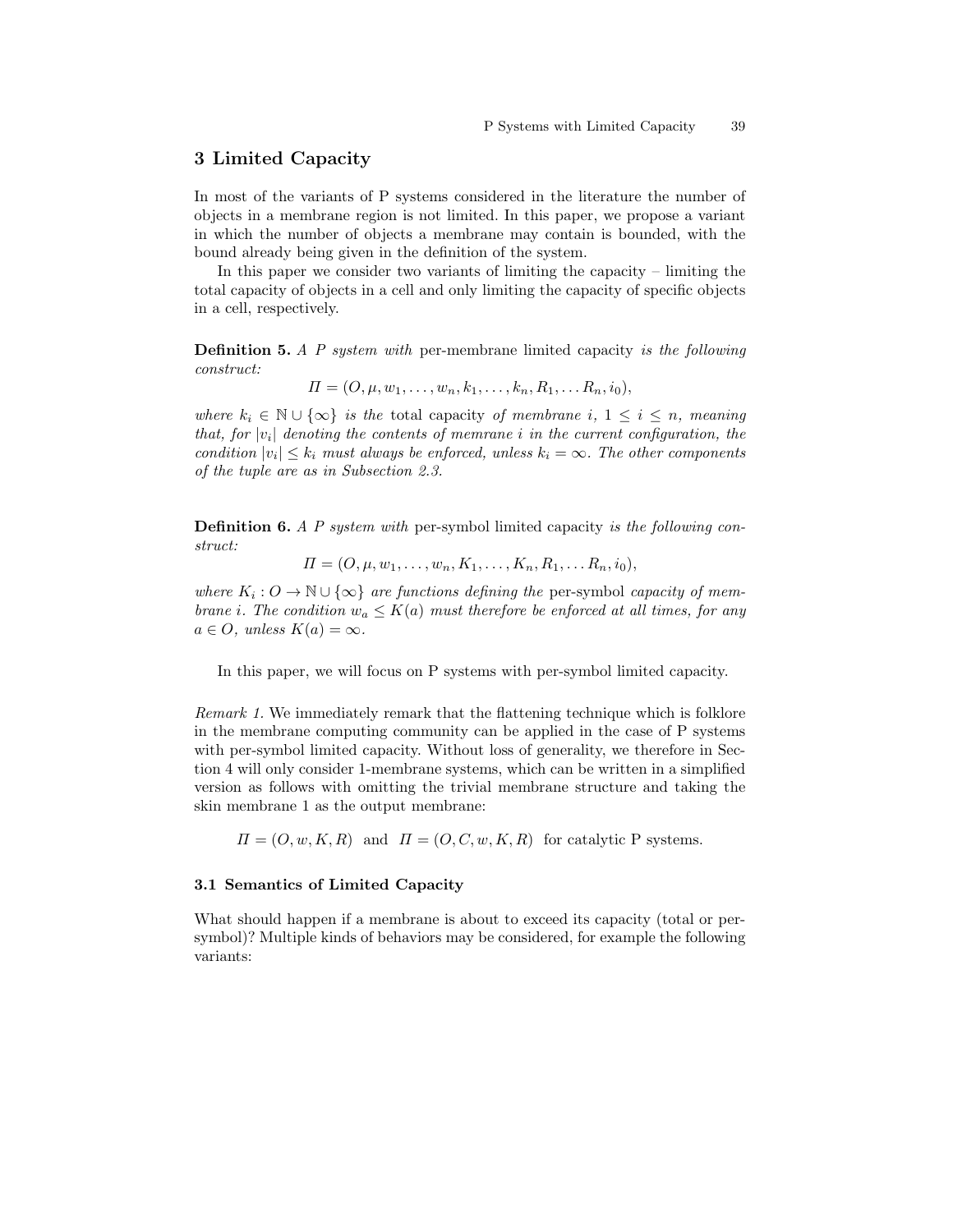# 3 Limited Capacity

In most of the variants of P systems considered in the literature the number of objects in a membrane region is not limited. In this paper, we propose a variant in which the number of objects a membrane may contain is bounded, with the bound already being given in the definition of the system.

In this paper we consider two variants of limiting the capacity – limiting the total capacity of objects in a cell and only limiting the capacity of specific objects in a cell, respectively.

**Definition 5.** A P system with per-membrane limited capacity is the following construct:

$$
\Pi = (O, \mu, w_1, \dots, w_n, k_1, \dots, k_n, R_1, \dots R_n, i_0),
$$

where  $k_i \in \mathbb{N} \cup \{\infty\}$  is the total capacity of membrane i,  $1 \leq i \leq n$ , meaning that, for  $|v_i|$  denoting the contents of memrane i in the current configuration, the condition  $|v_i| \leq k_i$  must always be enforced, unless  $k_i = \infty$ . The other components of the tuple are as in Subsection 2.3.

Definition 6. A P system with per-symbol limited capacity is the following construct:

 $\Pi = (O, \mu, w_1, \ldots, w_n, K_1, \ldots, K_n, R_1, \ldots, R_n, i_0),$ 

where  $K_i: O \to \mathbb{N} \cup \{\infty\}$  are functions defining the per-symbol capacity of membrane i. The condition  $w_a \leq K(a)$  must therefore be enforced at all times, for any  $a \in O$ , unless  $K(a) = \infty$ .

In this paper, we will focus on P systems with per-symbol limited capacity.

Remark 1. We immediately remark that the flattening technique which is folklore in the membrane computing community can be applied in the case of P systems with per-symbol limited capacity. Without loss of generality, we therefore in Section 4 will only consider 1-membrane systems, which can be written in a simplified version as follows with omitting the trivial membrane structure and taking the skin membrane 1 as the output membrane:

 $\Pi = (O, w, K, R)$  and  $\Pi = (O, C, w, K, R)$  for catalytic P systems.

## 3.1 Semantics of Limited Capacity

What should happen if a membrane is about to exceed its capacity (total or persymbol)? Multiple kinds of behaviors may be considered, for example the following variants: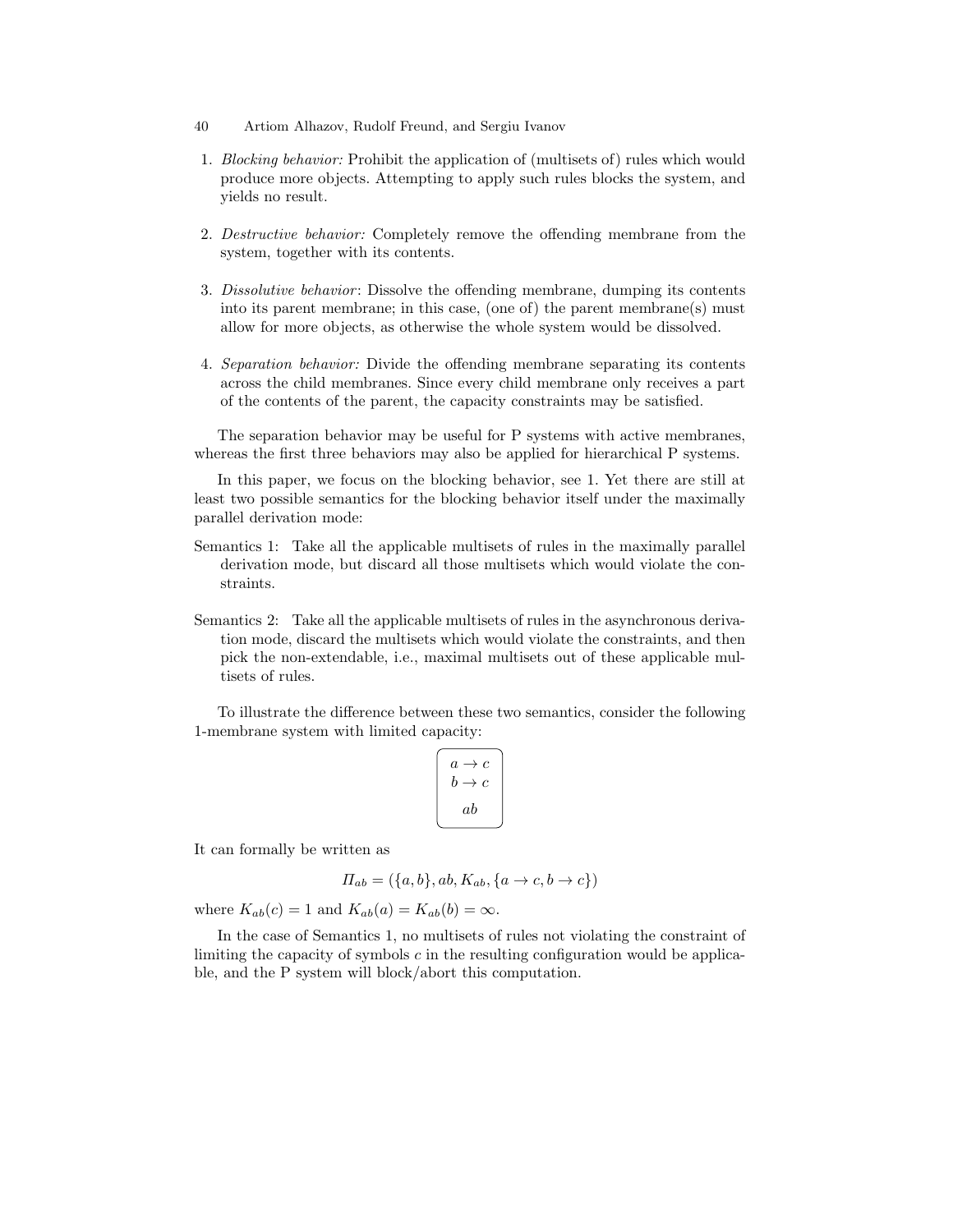- 40 Artiom Alhazov, Rudolf Freund, and Sergiu Ivanov
- 1. Blocking behavior: Prohibit the application of (multisets of) rules which would produce more objects. Attempting to apply such rules blocks the system, and yields no result.
- 2. Destructive behavior: Completely remove the offending membrane from the system, together with its contents.
- 3. Dissolutive behavior: Dissolve the offending membrane, dumping its contents into its parent membrane; in this case, (one of) the parent membrane(s) must allow for more objects, as otherwise the whole system would be dissolved.
- 4. Separation behavior: Divide the offending membrane separating its contents across the child membranes. Since every child membrane only receives a part of the contents of the parent, the capacity constraints may be satisfied.

The separation behavior may be useful for P systems with active membranes, whereas the first three behaviors may also be applied for hierarchical P systems.

In this paper, we focus on the blocking behavior, see 1. Yet there are still at least two possible semantics for the blocking behavior itself under the maximally parallel derivation mode:

- Semantics 1: Take all the applicable multisets of rules in the maximally parallel derivation mode, but discard all those multisets which would violate the constraints.
- Semantics 2: Take all the applicable multisets of rules in the asynchronous derivation mode, discard the multisets which would violate the constraints, and then pick the non-extendable, i.e., maximal multisets out of these applicable multisets of rules.

To illustrate the difference between these two semantics, consider the following 1-membrane system with limited capacity:

$$
\left[\n \begin{array}{c}\n a \rightarrow c \\
b \rightarrow c \\
a b\n \end{array}\n \right]
$$

It can formally be written as

$$
\Pi_{ab} = (\{a, b\}, ab, K_{ab}, \{a \rightarrow c, b \rightarrow c\})
$$

where  $K_{ab}(c) = 1$  and  $K_{ab}(a) = K_{ab}(b) = \infty$ .

In the case of Semantics 1, no multisets of rules not violating the constraint of limiting the capacity of symbols  $c$  in the resulting configuration would be applicable, and the P system will block/abort this computation.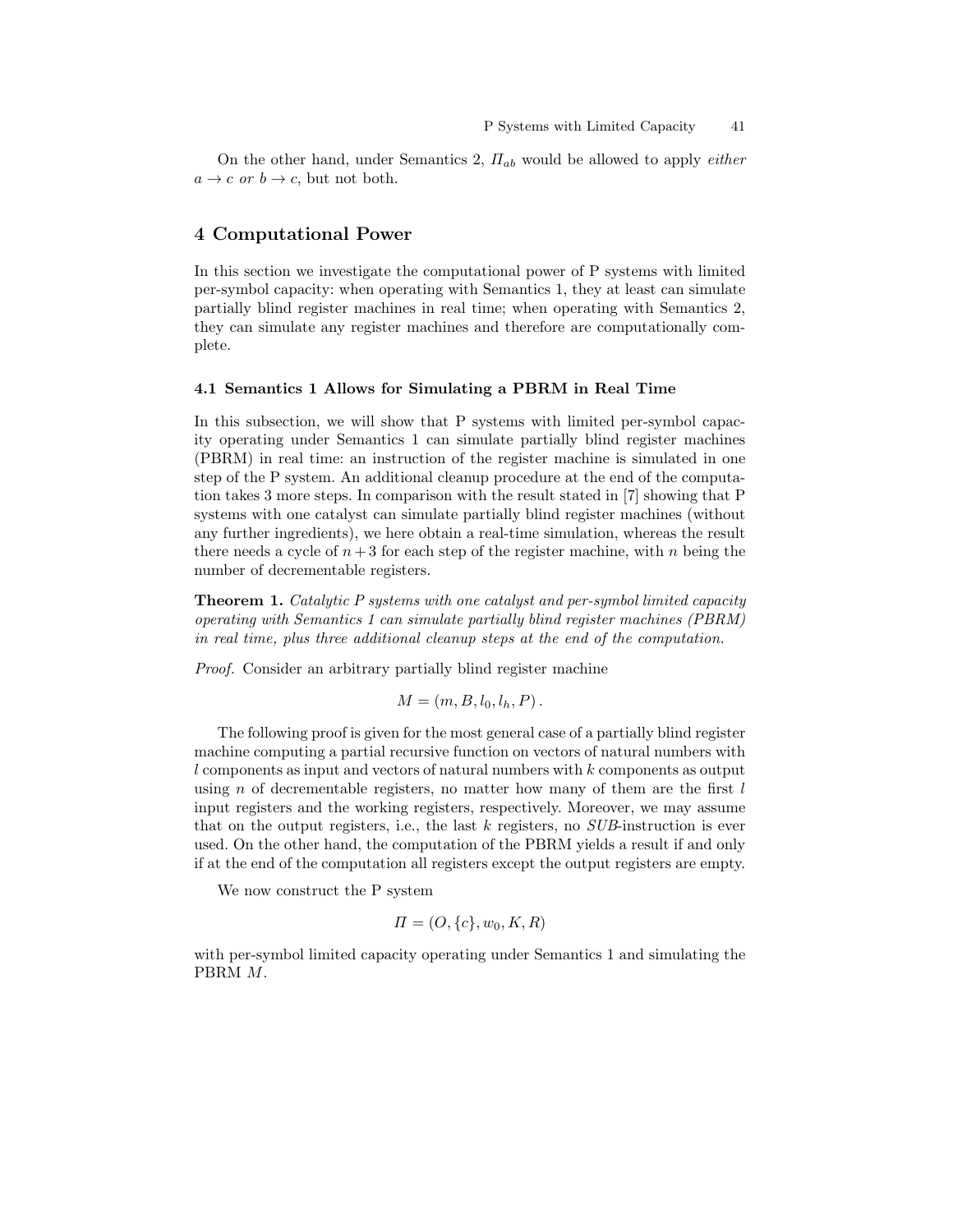On the other hand, under Semantics 2,  $\Pi_{ab}$  would be allowed to apply *either*  $a \rightarrow c$  or  $b \rightarrow c$ , but not both.

# 4 Computational Power

In this section we investigate the computational power of P systems with limited per-symbol capacity: when operating with Semantics 1, they at least can simulate partially blind register machines in real time; when operating with Semantics 2, they can simulate any register machines and therefore are computationally complete.

#### 4.1 Semantics 1 Allows for Simulating a PBRM in Real Time

In this subsection, we will show that P systems with limited per-symbol capacity operating under Semantics 1 can simulate partially blind register machines (PBRM) in real time: an instruction of the register machine is simulated in one step of the P system. An additional cleanup procedure at the end of the computation takes 3 more steps. In comparison with the result stated in [7] showing that P systems with one catalyst can simulate partially blind register machines (without any further ingredients), we here obtain a real-time simulation, whereas the result there needs a cycle of  $n+3$  for each step of the register machine, with n being the number of decrementable registers.

Theorem 1. Catalytic P systems with one catalyst and per-symbol limited capacity operating with Semantics 1 can simulate partially blind register machines (PBRM) in real time, plus three additional cleanup steps at the end of the computation.

Proof. Consider an arbitrary partially blind register machine

$$
M=(m,B,l_0,l_h,P).
$$

The following proof is given for the most general case of a partially blind register machine computing a partial recursive function on vectors of natural numbers with  $l$  components as input and vectors of natural numbers with  $k$  components as output using n of decrementable registers, no matter how many of them are the first  $l$ input registers and the working registers, respectively. Moreover, we may assume that on the output registers, i.e., the last  $k$  registers, no  $SUB\text{-}instruction$  is ever used. On the other hand, the computation of the PBRM yields a result if and only if at the end of the computation all registers except the output registers are empty.

We now construct the P system

$$
\Pi = (O, \{c\}, w_0, K, R)
$$

with per-symbol limited capacity operating under Semantics 1 and simulating the PBRM M.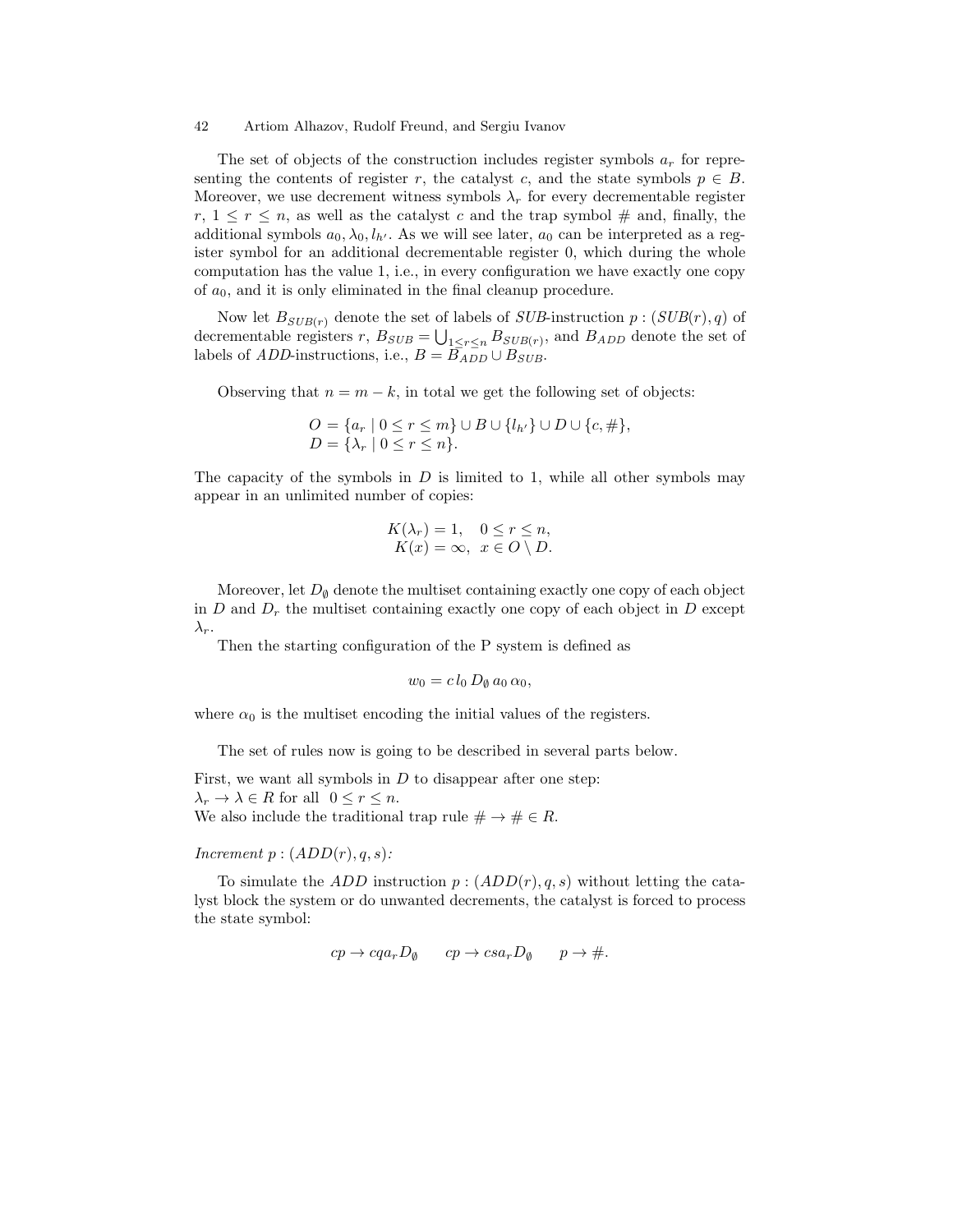The set of objects of the construction includes register symbols  $a_r$  for representing the contents of register r, the catalyst c, and the state symbols  $p \in B$ . Moreover, we use decrement witness symbols  $\lambda_r$  for every decrementable register  $r, 1 \leq r \leq n$ , as well as the catalyst c and the trap symbol  $\#$  and, finally, the additional symbols  $a_0, \lambda_0, l_{h'}$ . As we will see later,  $a_0$  can be interpreted as a register symbol for an additional decrementable register 0, which during the whole computation has the value 1, i.e., in every configuration we have exactly one copy of  $a_0$ , and it is only eliminated in the final cleanup procedure.

Now let  $B_{SUB(r)}$  denote the set of labels of  $SUB\text{-}instruction$   $p:(SUB(r), q)$  of decrementable registers  $r, B_{SUB} = \bigcup_{1 \leq r \leq n} B_{SUB(r)},$  and  $B_{ADD}$  denote the set of labels of *ADD*-instructions, i.e.,  $B = B_{ADD} \cup B_{SUB}$ .

Observing that  $n = m - k$ , in total we get the following set of objects:

$$
O = \{a_r \mid 0 \le r \le m\} \cup B \cup \{l_{h'}\} \cup D \cup \{c, \# \},
$$
  

$$
D = \{\lambda_r \mid 0 \le r \le n\}.
$$

The capacity of the symbols in  $D$  is limited to 1, while all other symbols may appear in an unlimited number of copies:

$$
K(\lambda_r) = 1, \quad 0 \le r \le n,
$$
  

$$
K(x) = \infty, \quad x \in O \setminus D.
$$

Moreover, let  $D_{\emptyset}$  denote the multiset containing exactly one copy of each object in  $D$  and  $D_r$  the multiset containing exactly one copy of each object in  $D$  except  $\lambda_r$ .

Then the starting configuration of the P system is defined as

$$
w_0 = c l_0 D_\emptyset a_0 \alpha_0,
$$

where  $\alpha_0$  is the multiset encoding the initial values of the registers.

The set of rules now is going to be described in several parts below.

First, we want all symbols in  $D$  to disappear after one step:  $\lambda_r \to \lambda \in R$  for all  $0 \leq r \leq n$ . We also include the traditional trap rule  $\# \to \# \in R$ .

Increment  $p:(ADD(r), q, s)$ :

To simulate the ADD instruction  $p:(ADD(r), q, s)$  without letting the catalyst block the system or do unwanted decrements, the catalyst is forced to process the state symbol:

$$
cp \to cqa_r D_\emptyset \qquad cp \to csa_r D_\emptyset \qquad p \to \#.
$$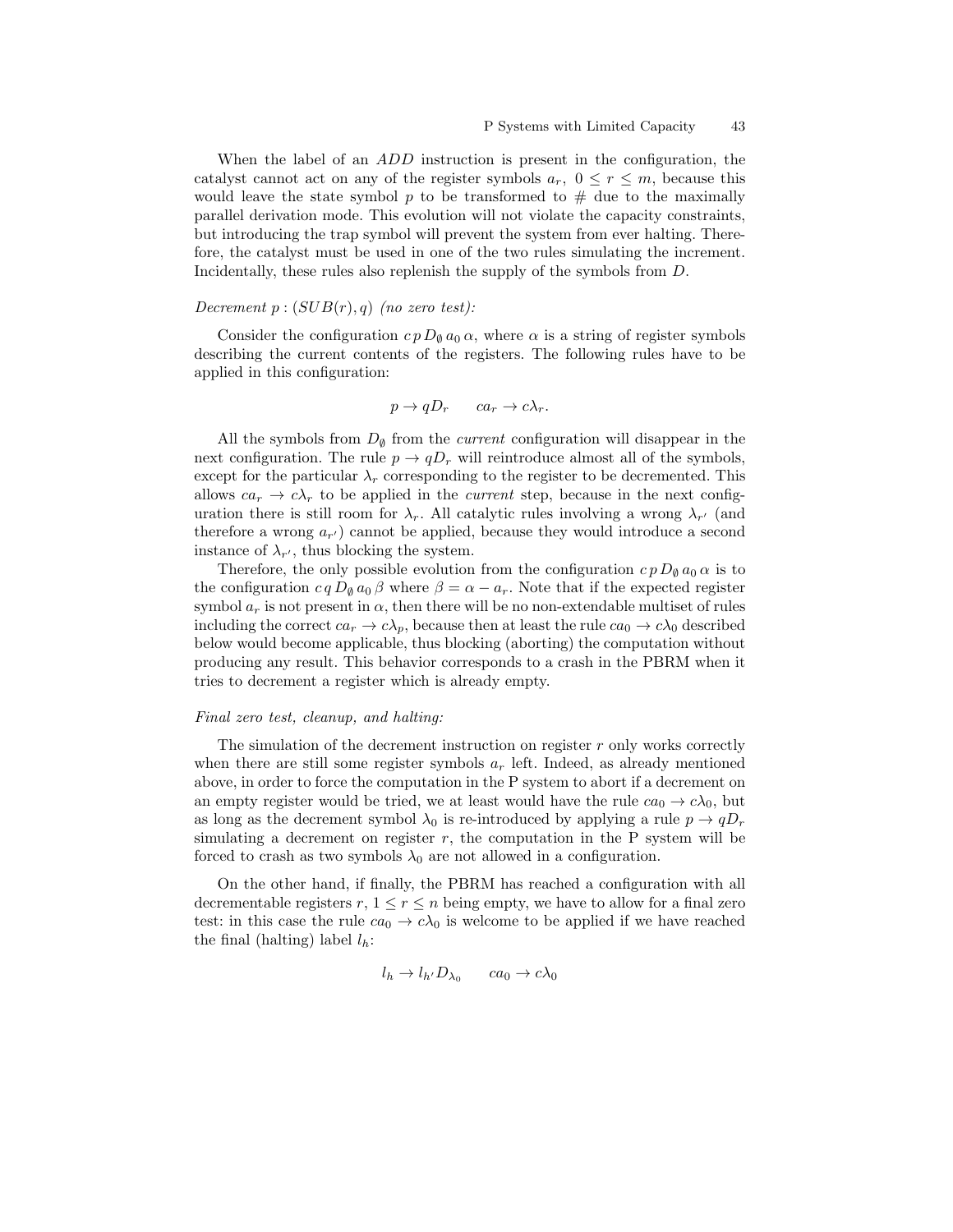When the label of an *ADD* instruction is present in the configuration, the catalyst cannot act on any of the register symbols  $a_r$ ,  $0 \le r \le m$ , because this would leave the state symbol  $p$  to be transformed to  $\#$  due to the maximally parallel derivation mode. This evolution will not violate the capacity constraints, but introducing the trap symbol will prevent the system from ever halting. Therefore, the catalyst must be used in one of the two rules simulating the increment. Incidentally, these rules also replenish the supply of the symbols from D.

### Decrement  $p:(SUB(r), q)$  (no zero test):

Consider the configuration  $c p D_{\theta} a_0 \alpha$ , where  $\alpha$  is a string of register symbols describing the current contents of the registers. The following rules have to be applied in this configuration:

$$
p \to qD_r \qquad ca_r \to c\lambda_r.
$$

All the symbols from  $D_{\emptyset}$  from the *current* configuration will disappear in the next configuration. The rule  $p \to qD_r$  will reintroduce almost all of the symbols, except for the particular  $\lambda_r$  corresponding to the register to be decremented. This allows  $ca_r \rightarrow c\lambda_r$  to be applied in the *current* step, because in the next configuration there is still room for  $\lambda_r$ . All catalytic rules involving a wrong  $\lambda_{r'}$  (and therefore a wrong  $a_{r'}$  cannot be applied, because they would introduce a second instance of  $\lambda_{r'}$ , thus blocking the system.

Therefore, the only possible evolution from the configuration  $c p D_{\theta} a_0 \alpha$  is to the configuration  $c q D_{\emptyset} a_0 \beta$  where  $\beta = \alpha - a_r$ . Note that if the expected register symbol  $a_r$  is not present in  $\alpha$ , then there will be no non-extendable multiset of rules including the correct  $ca_r \to c\lambda_p$ , because then at least the rule  $ca_0 \to c\lambda_0$  described below would become applicable, thus blocking (aborting) the computation without producing any result. This behavior corresponds to a crash in the PBRM when it tries to decrement a register which is already empty.

#### Final zero test, cleanup, and halting:

The simulation of the decrement instruction on register r only works correctly when there are still some register symbols  $a_r$  left. Indeed, as already mentioned above, in order to force the computation in the P system to abort if a decrement on an empty register would be tried, we at least would have the rule  $ca_0 \rightarrow c\lambda_0$ , but as long as the decrement symbol  $\lambda_0$  is re-introduced by applying a rule  $p \to qD_r$ simulating a decrement on register  $r$ , the computation in the  $P$  system will be forced to crash as two symbols  $\lambda_0$  are not allowed in a configuration.

On the other hand, if finally, the PBRM has reached a configuration with all decrementable registers  $r, 1 \leq r \leq n$  being empty, we have to allow for a final zero test: in this case the rule  $ca_0 \rightarrow c\lambda_0$  is welcome to be applied if we have reached the final (halting) label  $l_h$ :

$$
l_h \to l_{h'} D_{\lambda_0} \qquad ca_0 \to c\lambda_0
$$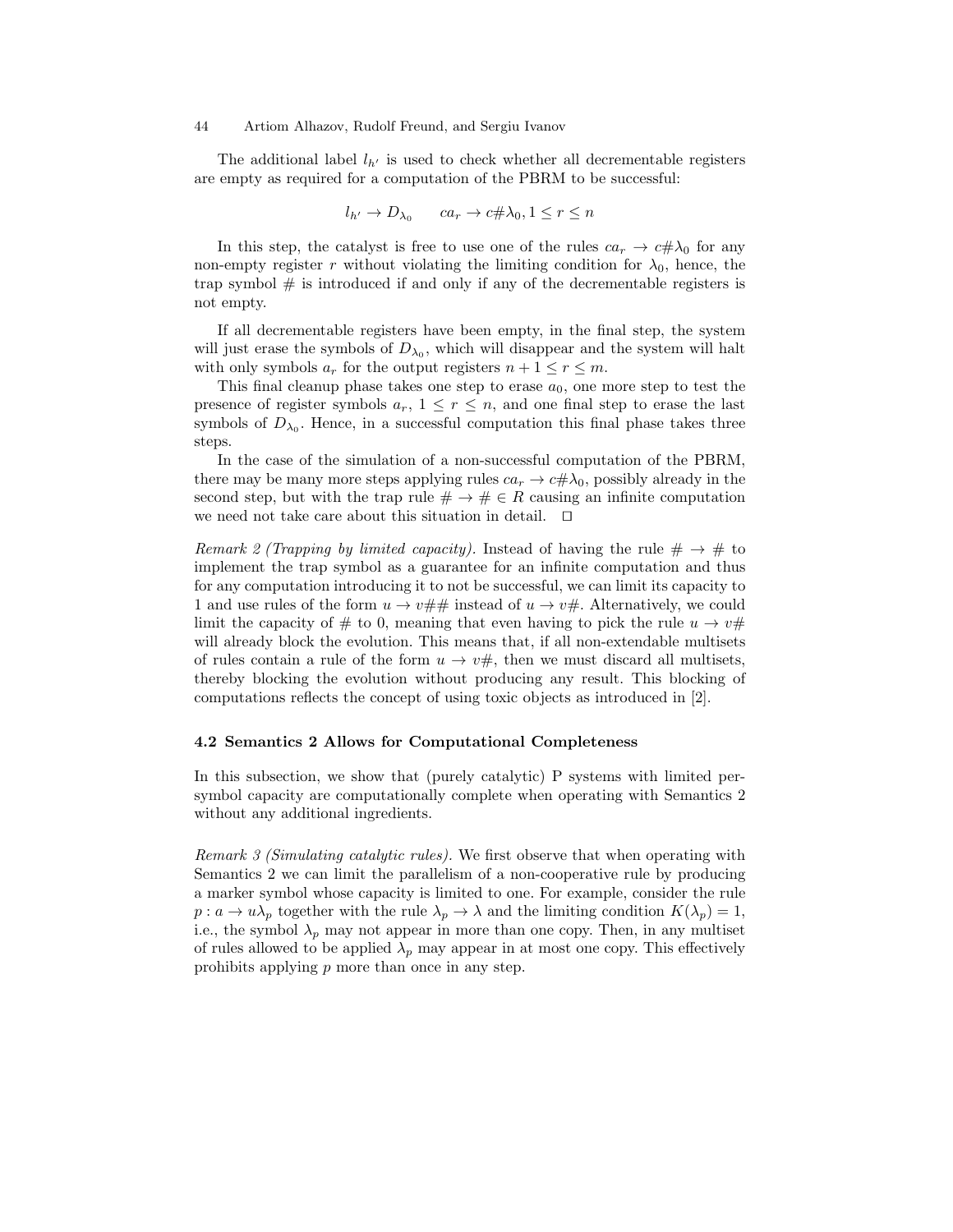The additional label  $l_{h'}$  is used to check whether all decrementable registers are empty as required for a computation of the PBRM to be successful:

$$
l_{h'} \to D_{\lambda_0} \qquad ca_r \to c \# \lambda_0, 1 \le r \le n
$$

In this step, the catalyst is free to use one of the rules  $ca_r \rightarrow c \# \lambda_0$  for any non-empty register r without violating the limiting condition for  $\lambda_0$ , hence, the trap symbol  $#$  is introduced if and only if any of the decrementable registers is not empty.

If all decrementable registers have been empty, in the final step, the system will just erase the symbols of  $D_{\lambda_0}$ , which will disappear and the system will halt with only symbols  $a_r$  for the output registers  $n + 1 \le r \le m$ .

This final cleanup phase takes one step to erase  $a_0$ , one more step to test the presence of register symbols  $a_r$ ,  $1 \leq r \leq n$ , and one final step to erase the last symbols of  $D_{\lambda_0}$ . Hence, in a successful computation this final phase takes three steps.

In the case of the simulation of a non-successful computation of the PBRM, there may be many more steps applying rules  $ca_r \to c \# \lambda_0$ , possibly already in the second step, but with the trap rule  $\# \to \# \in R$  causing an infinite computation we need not take care about this situation in detail.  $\Box$ 

Remark 2 (Trapping by limited capacity). Instead of having the rule  $\#\to\#$  to implement the trap symbol as a guarantee for an infinite computation and thus for any computation introducing it to not be successful, we can limit its capacity to 1 and use rules of the form  $u \to v \# \#$  instead of  $u \to v \#$ . Alternatively, we could limit the capacity of # to 0, meaning that even having to pick the rule  $u \to v \#$ will already block the evolution. This means that, if all non-extendable multisets of rules contain a rule of the form  $u \to v \#$ , then we must discard all multisets, thereby blocking the evolution without producing any result. This blocking of computations reflects the concept of using toxic objects as introduced in [2].

#### 4.2 Semantics 2 Allows for Computational Completeness

In this subsection, we show that (purely catalytic) P systems with limited persymbol capacity are computationally complete when operating with Semantics 2 without any additional ingredients.

Remark 3 (Simulating catalytic rules). We first observe that when operating with Semantics 2 we can limit the parallelism of a non-cooperative rule by producing a marker symbol whose capacity is limited to one. For example, consider the rule  $p: a \to u\lambda_p$  together with the rule  $\lambda_p \to \lambda$  and the limiting condition  $K(\lambda_p) = 1$ , i.e., the symbol  $\lambda_p$  may not appear in more than one copy. Then, in any multiset of rules allowed to be applied  $\lambda_p$  may appear in at most one copy. This effectively prohibits applying  $p$  more than once in any step.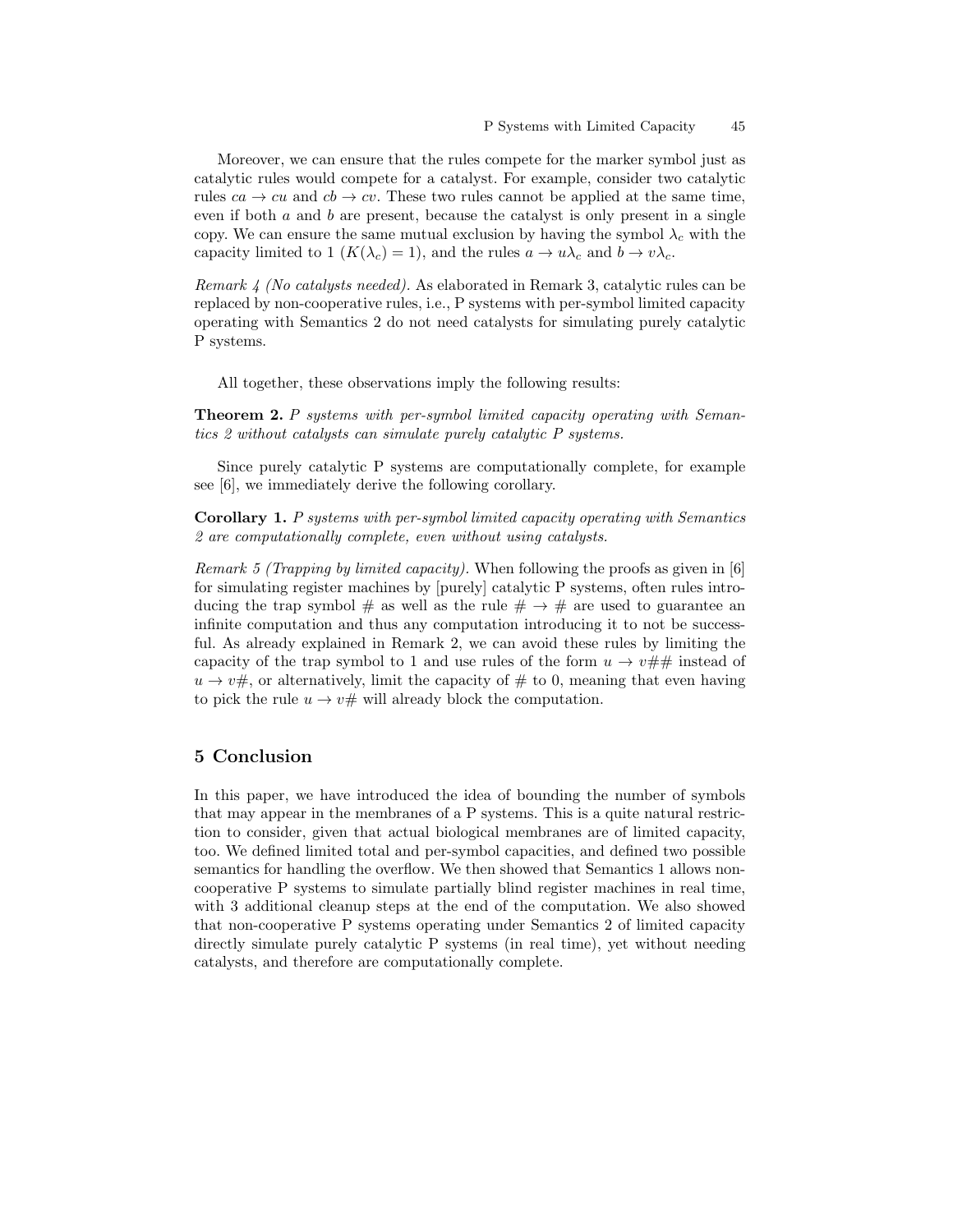Moreover, we can ensure that the rules compete for the marker symbol just as catalytic rules would compete for a catalyst. For example, consider two catalytic rules  $ca \rightarrow cu$  and  $cb \rightarrow cv$ . These two rules cannot be applied at the same time, even if both  $a$  and  $b$  are present, because the catalyst is only present in a single copy. We can ensure the same mutual exclusion by having the symbol  $\lambda_c$  with the capacity limited to 1 ( $K(\lambda_c) = 1$ ), and the rules  $a \to u\lambda_c$  and  $b \to v\lambda_c$ .

Remark 4 (No catalysts needed). As elaborated in Remark 3, catalytic rules can be replaced by non-cooperative rules, i.e., P systems with per-symbol limited capacity operating with Semantics 2 do not need catalysts for simulating purely catalytic P systems.

All together, these observations imply the following results:

Theorem 2. P systems with per-symbol limited capacity operating with Semantics 2 without catalysts can simulate purely catalytic P systems.

Since purely catalytic P systems are computationally complete, for example see [6], we immediately derive the following corollary.

Corollary 1. P systems with per-symbol limited capacity operating with Semantics 2 are computationally complete, even without using catalysts.

Remark 5 (Trapping by limited capacity). When following the proofs as given in [6] for simulating register machines by [purely] catalytic P systems, often rules introducing the trap symbol # as well as the rule  $\# \to \#$  are used to guarantee an infinite computation and thus any computation introducing it to not be successful. As already explained in Remark 2, we can avoid these rules by limiting the capacity of the trap symbol to 1 and use rules of the form  $u \to v \# \#$  instead of  $u \rightarrow v \#$ , or alternatively, limit the capacity of  $\#$  to 0, meaning that even having to pick the rule  $u \to v \#$  will already block the computation.

# 5 Conclusion

In this paper, we have introduced the idea of bounding the number of symbols that may appear in the membranes of a P systems. This is a quite natural restriction to consider, given that actual biological membranes are of limited capacity, too. We defined limited total and per-symbol capacities, and defined two possible semantics for handling the overflow. We then showed that Semantics 1 allows noncooperative P systems to simulate partially blind register machines in real time, with 3 additional cleanup steps at the end of the computation. We also showed that non-cooperative P systems operating under Semantics 2 of limited capacity directly simulate purely catalytic P systems (in real time), yet without needing catalysts, and therefore are computationally complete.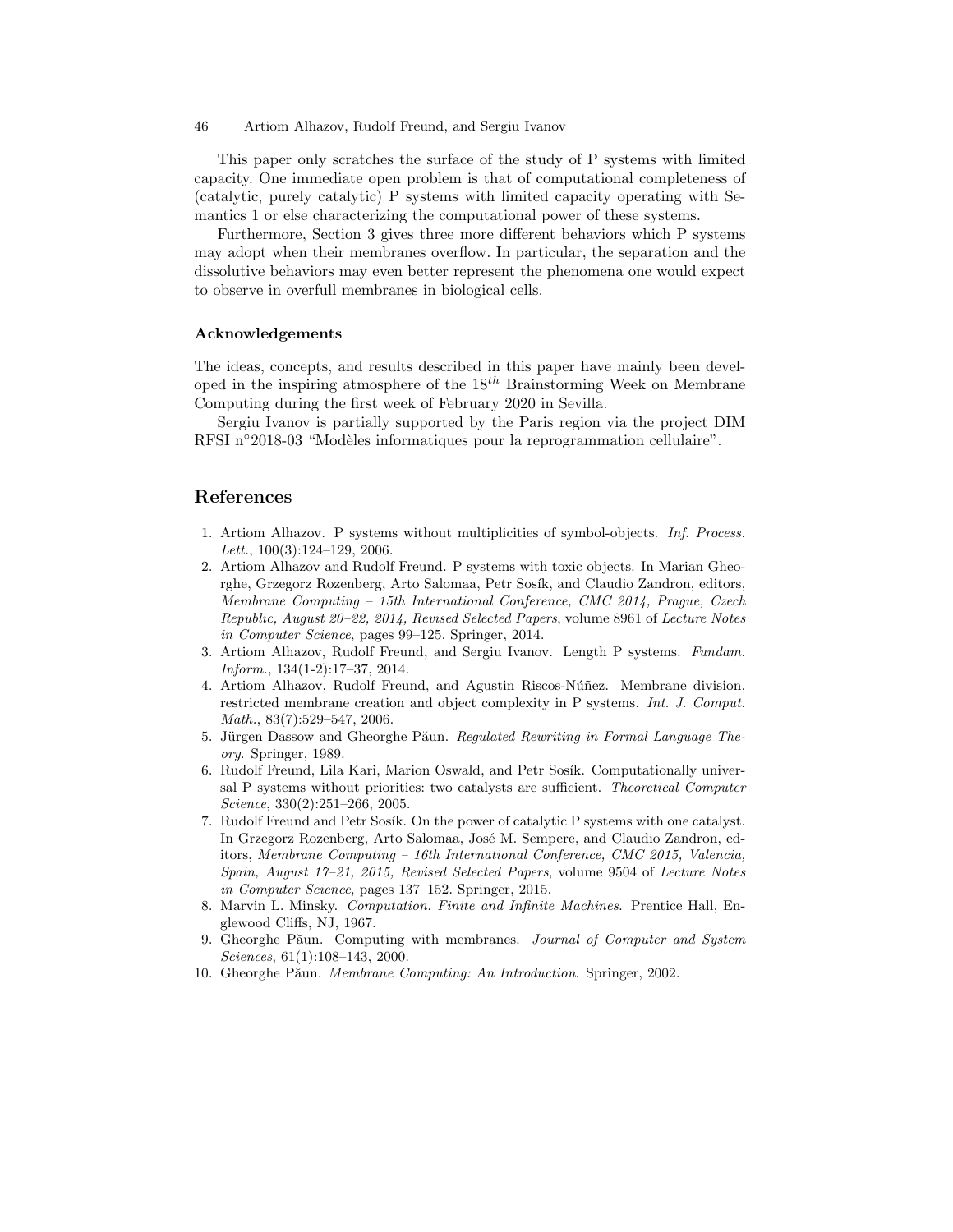This paper only scratches the surface of the study of P systems with limited capacity. One immediate open problem is that of computational completeness of (catalytic, purely catalytic) P systems with limited capacity operating with Semantics 1 or else characterizing the computational power of these systems.

Furthermore, Section 3 gives three more different behaviors which P systems may adopt when their membranes overflow. In particular, the separation and the dissolutive behaviors may even better represent the phenomena one would expect to observe in overfull membranes in biological cells.

#### Acknowledgements

The ideas, concepts, and results described in this paper have mainly been developed in the inspiring atmosphere of the  $18^{th}$  Brainstorming Week on Membrane Computing during the first week of February 2020 in Sevilla.

Sergiu Ivanov is partially supported by the Paris region via the project DIM RFSI n<sup>∘</sup>2018-03 "Modèles informatiques pour la reprogrammation cellulaire".

### References

- 1. Artiom Alhazov. P systems without multiplicities of symbol-objects. Inf. Process. Lett.,  $100(3):124-129$ ,  $2006$ .
- 2. Artiom Alhazov and Rudolf Freund. P systems with toxic objects. In Marian Gheorghe, Grzegorz Rozenberg, Arto Salomaa, Petr Sosík, and Claudio Zandron, editors, Membrane Computing – 15th International Conference, CMC 2014, Prague, Czech Republic, August 20–22, 2014, Revised Selected Papers, volume 8961 of Lecture Notes in Computer Science, pages 99–125. Springer, 2014.
- 3. Artiom Alhazov, Rudolf Freund, and Sergiu Ivanov. Length P systems. Fundam. Inform., 134(1-2):17–37, 2014.
- 4. Artiom Alhazov, Rudolf Freund, and Agustin Riscos-Núñez. Membrane division, restricted membrane creation and object complexity in P systems. Int. J. Comput. Math., 83(7):529–547, 2006.
- 5. Jürgen Dassow and Gheorghe Păun. Regulated Rewriting in Formal Language Theory. Springer, 1989.
- 6. Rudolf Freund, Lila Kari, Marion Oswald, and Petr Sosík. Computationally universal P systems without priorities: two catalysts are sufficient. Theoretical Computer Science, 330(2):251–266, 2005.
- 7. Rudolf Freund and Petr Sosík. On the power of catalytic P systems with one catalyst. In Grzegorz Rozenberg, Arto Salomaa, José M. Sempere, and Claudio Zandron, editors, Membrane Computing – 16th International Conference, CMC 2015, Valencia, Spain, August 17–21, 2015, Revised Selected Papers, volume 9504 of Lecture Notes in Computer Science, pages 137–152. Springer, 2015.
- 8. Marvin L. Minsky. Computation. Finite and Infinite Machines. Prentice Hall, Englewood Cliffs, NJ, 1967.
- 9. Gheorghe Păun. Computing with membranes. Journal of Computer and System Sciences, 61(1):108–143, 2000.
- 10. Gheorghe Păun. Membrane Computing: An Introduction. Springer, 2002.